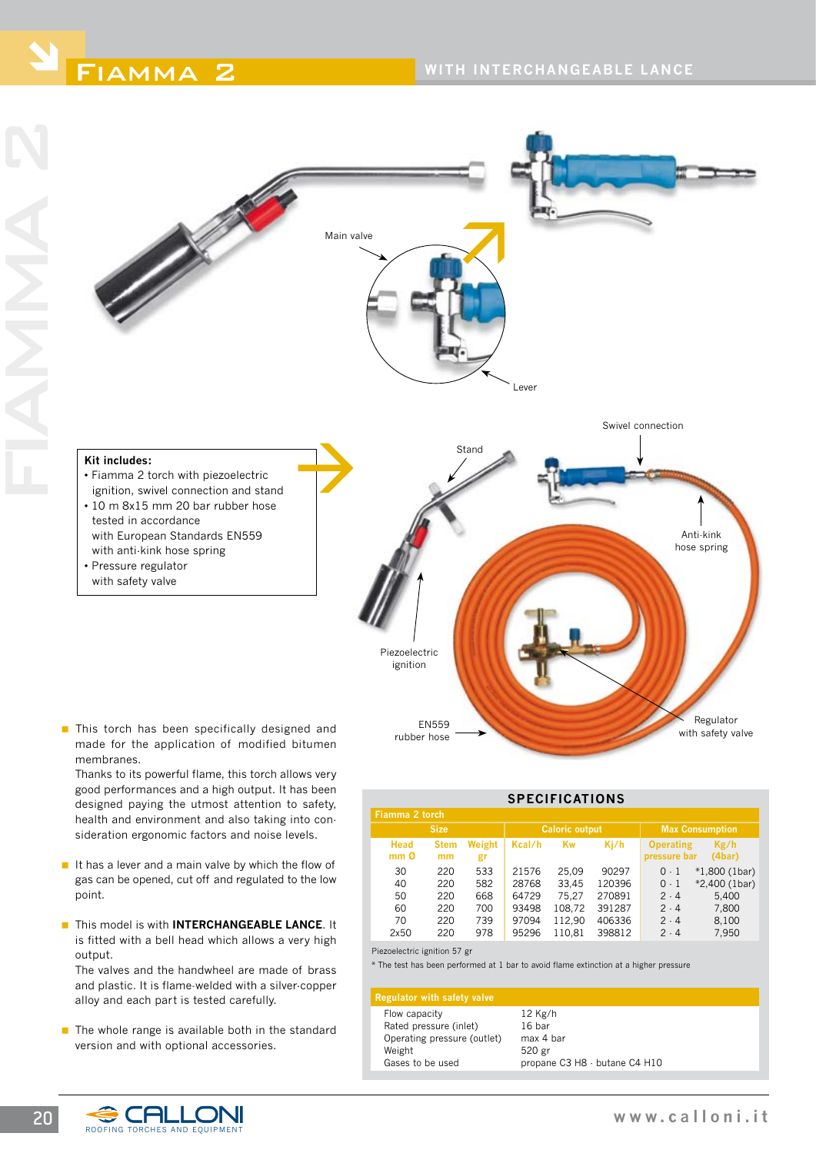

**This torch has been specifically designed and** made for the application of modified bitumen membranes.

Thanks to its powerful flame, this torch allows very good performances and a high output. It has been designed paying the utmost attention to safety, health and environment and also taking into consideration ergonomic factors and noise levels.

- $\blacksquare$  It has a lever and a main valve by which the flow of gas can be opened, cut off and regulated to the low point.
- **This model is with INTERCHANGEABLE LANCE.** It is fitted with a bell head which allows a very high output.

The valves and the handwheel are made of brass and plastic. It is flame-welded with a silver-copper alloy and each part is tested carefully.

 $\blacksquare$  The whole range is available both in the standard version and with optional accessories.

| <b>SPECIFICATIONS</b>          |                   |                   |                         |                            |                            |                                  |                                           |  |
|--------------------------------|-------------------|-------------------|-------------------------|----------------------------|----------------------------|----------------------------------|-------------------------------------------|--|
| Fiamma 2 torch                 |                   |                   |                         |                            |                            |                                  |                                           |  |
| <b>Size</b>                    |                   |                   | <b>Caloric output</b>   |                            |                            | <b>Max Consumption</b>           |                                           |  |
| <b>Head</b><br>mm <sub>0</sub> | <b>Stem</b><br>mm | Weight<br>gr      | Kcal/h                  | Kw                         | Ki/h                       | <b>Operating</b><br>pressure bar | Kg/h<br>(4bar)                            |  |
| 30<br>40<br>50                 | 220<br>220<br>220 | 533<br>582<br>668 | 21576<br>28768<br>64729 | 25.09<br>33.45<br>75.27    | 90297<br>120396<br>270891  | $0-1$<br>$0-1$<br>$2 - 4$        | $*1,800$ (1bar)<br>*2,400 (1bar)<br>5,400 |  |
| 60<br>70<br>2x50               | 220<br>220<br>220 | 700<br>739<br>978 | 93498<br>97094<br>95296 | 108,72<br>112.90<br>110.81 | 391287<br>406336<br>398812 | 2.4<br>2.4<br>$2 \cdot 4$        | 7,800<br>8.100<br>7,950                   |  |

Piezoelectric ignition 57 gr

rubber hose

\* The test has been performed at 1 bar to avoid flame extinction at a higher pressure

## **Regulator with safety valve**

| Flow capacity               | $12$ Kg/h                     |
|-----------------------------|-------------------------------|
| Rated pressure (inlet)      | 16 bar                        |
| Operating pressure (outlet) | max 4 bar                     |
| Weight                      | 520 gr                        |
| Gases to be used            | propane C3 H8 - butane C4 H10 |
|                             |                               |



with safety valve